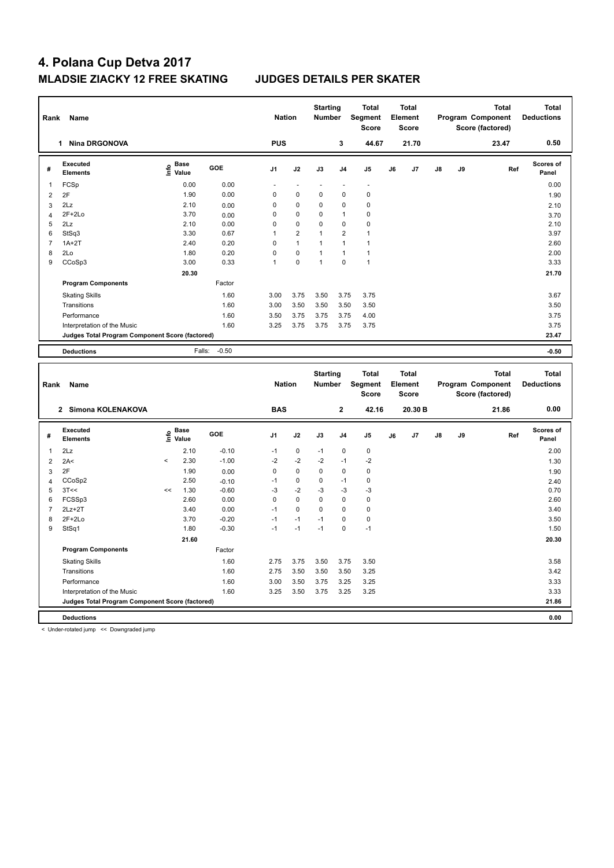# **4. Polana Cup Detva 2017 MLADSIE ZIACKY 12 FREE SKATING JUDGES DETAILS PER SKATER**

| Rank           | Name                                            |                             |                 | <b>Nation</b> |                | <b>Starting</b><br><b>Number</b> |                | <b>Total</b><br>Segment<br><b>Score</b> |    | <b>Total</b><br>Element<br><b>Score</b> |    |    | Program Component<br>Score (factored) | <b>Total</b> | <b>Total</b><br><b>Deductions</b> |
|----------------|-------------------------------------------------|-----------------------------|-----------------|---------------|----------------|----------------------------------|----------------|-----------------------------------------|----|-----------------------------------------|----|----|---------------------------------------|--------------|-----------------------------------|
|                | 1 Nina DRGONOVA                                 |                             |                 | <b>PUS</b>    |                |                                  | 3              | 44.67                                   |    | 21.70                                   |    |    | 23.47                                 |              | 0.50                              |
| #              | Executed<br><b>Elements</b>                     | $\frac{e}{E}$ Base<br>Malue | <b>GOE</b>      | J1            | J2             | J3                               | J <sub>4</sub> | J <sub>5</sub>                          | J6 | J7                                      | J8 | J9 |                                       | Ref          | <b>Scores of</b><br>Panel         |
| $\mathbf{1}$   | FCSp                                            | 0.00                        | 0.00            |               |                |                                  | ä,             | L,                                      |    |                                         |    |    |                                       |              | 0.00                              |
| $\overline{2}$ | 2F                                              | 1.90                        | 0.00            | $\mathbf 0$   | $\mathbf 0$    | 0                                | 0              | $\pmb{0}$                               |    |                                         |    |    |                                       |              | 1.90                              |
| 3              | 2Lz                                             | 2.10                        | 0.00            | $\mathbf 0$   | $\mathbf 0$    | 0                                | 0              | $\pmb{0}$                               |    |                                         |    |    |                                       |              | 2.10                              |
| 4              | $2F+2Lo$                                        | 3.70                        | 0.00            | $\mathbf 0$   | 0              | 0                                | 1              | $\pmb{0}$                               |    |                                         |    |    |                                       |              | 3.70                              |
| 5              | 2Lz                                             | 2.10                        | 0.00            | $\mathbf 0$   | $\mathbf 0$    | 0                                | $\mathbf 0$    | $\mathbf 0$                             |    |                                         |    |    |                                       |              | 2.10                              |
| 6              | StSq3                                           | 3.30                        | 0.67            | 1             | $\overline{2}$ | 1                                | $\overline{2}$ | $\overline{1}$                          |    |                                         |    |    |                                       |              | 3.97                              |
| $\overline{7}$ | $1A+2T$                                         | 2.40                        | 0.20            | $\mathbf 0$   | $\mathbf{1}$   | 1                                | 1              | $\overline{1}$                          |    |                                         |    |    |                                       |              | 2.60                              |
| 8              | 2Lo                                             | 1.80                        | 0.20            | $\mathbf 0$   | $\mathbf 0$    | 1                                | $\overline{1}$ | $\overline{1}$                          |    |                                         |    |    |                                       |              | 2.00                              |
| 9              | CCoSp3                                          | 3.00                        | 0.33            | $\mathbf{1}$  | $\mathbf 0$    | 1                                | 0              | $\overline{1}$                          |    |                                         |    |    |                                       |              | 3.33                              |
|                |                                                 | 20.30                       |                 |               |                |                                  |                |                                         |    |                                         |    |    |                                       |              | 21.70                             |
|                | <b>Program Components</b>                       |                             | Factor          |               |                |                                  |                |                                         |    |                                         |    |    |                                       |              |                                   |
|                | <b>Skating Skills</b>                           |                             | 1.60            | 3.00          | 3.75           | 3.50                             | 3.75           | 3.75                                    |    |                                         |    |    |                                       |              | 3.67                              |
|                | Transitions                                     |                             | 1.60            | 3.00          | 3.50           | 3.50                             | 3.50           | 3.50                                    |    |                                         |    |    |                                       |              | 3.50                              |
|                | Performance                                     |                             | 1.60            | 3.50          | 3.75           | 3.75                             | 3.75           | 4.00                                    |    |                                         |    |    |                                       |              | 3.75                              |
|                | Interpretation of the Music                     |                             | 1.60            | 3.25          | 3.75           | 3.75                             | 3.75           | 3.75                                    |    |                                         |    |    |                                       |              | 3.75                              |
|                | Judges Total Program Component Score (factored) |                             |                 |               |                |                                  |                |                                         |    |                                         |    |    |                                       |              | 23.47                             |
|                |                                                 |                             |                 |               |                |                                  |                |                                         |    |                                         |    |    |                                       |              |                                   |
|                | <b>Deductions</b>                               | Falls:                      | $-0.50$         |               |                |                                  |                |                                         |    |                                         |    |    |                                       |              | $-0.50$                           |
|                |                                                 |                             |                 |               |                |                                  |                |                                         |    |                                         |    |    |                                       |              |                                   |
| Rank           | Name                                            |                             |                 | <b>Nation</b> |                | <b>Starting</b><br><b>Number</b> |                | <b>Total</b><br>Segment<br><b>Score</b> |    | <b>Total</b><br>Element<br><b>Score</b> |    |    | Program Component<br>Score (factored) | <b>Total</b> | <b>Total</b><br><b>Deductions</b> |
|                | 2 Simona KOLENAKOVA                             |                             |                 | <b>BAS</b>    |                |                                  | $\mathbf 2$    | 42.16                                   |    | 20.30 B                                 |    |    | 21.86                                 |              | 0.00                              |
| #              | Executed<br><b>Elements</b>                     |                             | GOE             | J1            | J2             | J3                               | J <sub>4</sub> | J <sub>5</sub>                          | J6 | J7                                      | J8 | J9 |                                       | Ref          | <b>Scores of</b><br>Panel         |
|                |                                                 | e Base<br>E Value           |                 |               |                |                                  |                |                                         |    |                                         |    |    |                                       |              |                                   |
| 1              | 2Lz                                             | 2.10                        | $-0.10$         | $-1$          | 0              | $-1$                             | 0              | $\mathbf 0$                             |    |                                         |    |    |                                       |              | 2.00                              |
| $\overline{2}$ | 2A<                                             | 2.30<br>$\,<$               | $-1.00$         | $-2$          | $-2$           | $-2$                             | $-1$           | $-2$                                    |    |                                         |    |    |                                       |              | 1.30                              |
| 3              | 2F                                              | 1.90                        | 0.00            | $\mathbf 0$   | 0              | 0                                | $\pmb{0}$      | $\pmb{0}$                               |    |                                         |    |    |                                       |              | 1.90                              |
| 4<br>5         | CCoSp2                                          | 2.50<br><<                  | $-0.10$         | $-1$<br>$-3$  | 0              | 0<br>$-3$                        | $-1$<br>$-3$   | $\pmb{0}$<br>$-3$                       |    |                                         |    |    |                                       |              | 2.40                              |
| 6              | 3T<<<br>FCSS <sub>p3</sub>                      | 1.30<br>2.60                | $-0.60$<br>0.00 | $\mathbf 0$   | $-2$<br>0      | $\mathbf 0$                      | $\mathbf 0$    | $\mathbf 0$                             |    |                                         |    |    |                                       |              | 0.70<br>2.60                      |
| $\overline{7}$ | $2Lz+2T$                                        | 3.40                        | 0.00            | $-1$          | 0              | 0                                | 0              | $\mathbf 0$                             |    |                                         |    |    |                                       |              | 3.40                              |
| 8              | $2F+2Lo$                                        | 3.70                        | $-0.20$         | $-1$          | $-1$           | $-1$                             | 0              | $\mathbf 0$                             |    |                                         |    |    |                                       |              | 3.50                              |
| 9              | StSq1                                           | 1.80                        | $-0.30$         | $-1$          | $-1$           | $-1$                             | 0              | $-1$                                    |    |                                         |    |    |                                       |              | 1.50                              |
|                |                                                 | 21.60                       |                 |               |                |                                  |                |                                         |    |                                         |    |    |                                       |              | 20.30                             |
|                | <b>Program Components</b>                       |                             | Factor          |               |                |                                  |                |                                         |    |                                         |    |    |                                       |              |                                   |
|                |                                                 |                             | 1.60            | 2.75          |                | 3.50                             | 3.75           |                                         |    |                                         |    |    |                                       |              |                                   |
|                | <b>Skating Skills</b><br>Transitions            |                             | 1.60            | 2.75          | 3.75<br>3.50   | 3.50                             |                | 3.50                                    |    |                                         |    |    |                                       |              | 3.58                              |
|                | Performance                                     |                             | 1.60            | 3.00          | 3.50           | 3.75                             | 3.50<br>3.25   | 3.25<br>3.25                            |    |                                         |    |    |                                       |              | 3.42<br>3.33                      |
|                | Interpretation of the Music                     |                             | 1.60            | 3.25          | 3.50           | 3.75                             | 3.25           | 3.25                                    |    |                                         |    |    |                                       |              | 3.33                              |
|                | Judges Total Program Component Score (factored) |                             |                 |               |                |                                  |                |                                         |    |                                         |    |    |                                       |              | 21.86                             |

< Under-rotated jump << Downgraded jump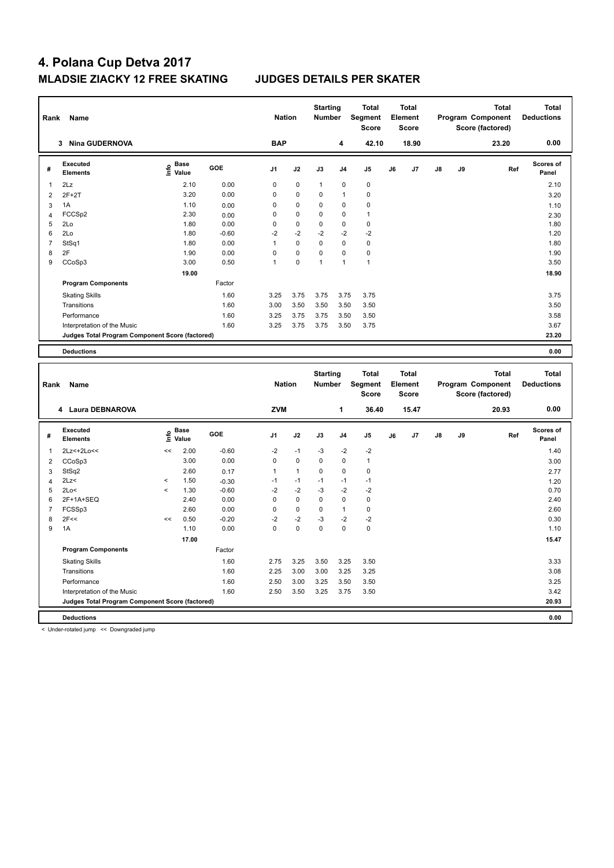# **4. Polana Cup Detva 2017 MLADSIE ZIACKY 12 FREE SKATING JUDGES DETAILS PER SKATER**

| Name<br>Rank   |                                                 |       |                                           | <b>Nation</b>   |               | <b>Starting</b><br><b>Number</b> |                 | <b>Total</b><br>Segment<br><b>Score</b> |                | <b>Total</b><br>Element<br><b>Score</b> |                |    | <b>Total</b><br>Program Component<br>Score (factored) | <b>Total</b><br><b>Deductions</b> |                           |
|----------------|-------------------------------------------------|-------|-------------------------------------------|-----------------|---------------|----------------------------------|-----------------|-----------------------------------------|----------------|-----------------------------------------|----------------|----|-------------------------------------------------------|-----------------------------------|---------------------------|
|                | 3 Nina GUDERNOVA                                |       |                                           |                 | <b>BAP</b>    |                                  |                 | 4                                       | 42.10          |                                         | 18.90          |    |                                                       | 23.20                             | 0.00                      |
| #              | Executed<br><b>Elements</b>                     |       | $\frac{e}{E}$ Base<br>$\frac{e}{E}$ Value | GOE             | J1            | J2                               | J3              | J4                                      | J <sub>5</sub> | J6                                      | J7             | J8 | J9                                                    | Ref                               | Scores of<br>Panel        |
| 1              | 2Lz                                             |       | 2.10                                      | 0.00            | 0             | 0                                | 1               | 0                                       | $\mathbf 0$    |                                         |                |    |                                                       |                                   | 2.10                      |
| $\overline{2}$ | $2F+2T$                                         |       | 3.20                                      | 0.00            | $\mathbf 0$   | 0                                | 0               | 1                                       | $\pmb{0}$      |                                         |                |    |                                                       |                                   | 3.20                      |
| 3              | 1A                                              |       | 1.10                                      | 0.00            | 0             | $\mathbf 0$                      | 0               | 0                                       | $\pmb{0}$      |                                         |                |    |                                                       |                                   | 1.10                      |
| $\overline{4}$ | FCCSp2                                          |       | 2.30                                      | 0.00            | $\mathbf 0$   | 0                                | 0               | 0                                       | $\overline{1}$ |                                         |                |    |                                                       |                                   | 2.30                      |
| 5              | 2Lo                                             |       | 1.80                                      | 0.00            | $\mathbf 0$   | 0                                | 0               | 0                                       | $\pmb{0}$      |                                         |                |    |                                                       |                                   | 1.80                      |
| 6              | 2Lo                                             |       | 1.80                                      | $-0.60$         | $-2$          | $-2$                             | $-2$            | $-2$                                    | $-2$           |                                         |                |    |                                                       |                                   | 1.20                      |
| $\overline{7}$ | StSq1                                           |       | 1.80                                      | 0.00            | $\mathbf{1}$  | 0                                | 0               | 0                                       | $\pmb{0}$      |                                         |                |    |                                                       |                                   | 1.80                      |
| 8              | 2F                                              |       | 1.90                                      | 0.00            | $\mathbf 0$   | $\mathbf 0$                      | 0               | 0                                       | $\pmb{0}$      |                                         |                |    |                                                       |                                   | 1.90                      |
| 9              | CCoSp3                                          |       | 3.00                                      | 0.50            | $\mathbf{1}$  | 0                                | 1               | $\mathbf{1}$                            | $\overline{1}$ |                                         |                |    |                                                       |                                   | 3.50                      |
|                |                                                 |       | 19.00                                     |                 |               |                                  |                 |                                         |                |                                         |                |    |                                                       |                                   | 18.90                     |
|                | <b>Program Components</b>                       |       |                                           | Factor          |               |                                  |                 |                                         |                |                                         |                |    |                                                       |                                   |                           |
|                | <b>Skating Skills</b>                           |       |                                           | 1.60            | 3.25          | 3.75                             | 3.75            | 3.75                                    | 3.75           |                                         |                |    |                                                       |                                   | 3.75                      |
|                | Transitions                                     |       |                                           | 1.60            | 3.00          | 3.50                             | 3.50            | 3.50                                    | 3.50           |                                         |                |    |                                                       |                                   | 3.50                      |
|                | Performance                                     |       |                                           | 1.60            | 3.25          | 3.75                             | 3.75            | 3.50                                    | 3.50           |                                         |                |    |                                                       |                                   | 3.58                      |
|                | Interpretation of the Music                     |       |                                           | 1.60            | 3.25          | 3.75                             | 3.75            | 3.50                                    | 3.75           |                                         |                |    |                                                       |                                   | 3.67                      |
|                | Judges Total Program Component Score (factored) |       |                                           |                 |               |                                  |                 |                                         |                |                                         |                |    |                                                       |                                   | 23.20                     |
|                |                                                 |       |                                           |                 |               |                                  |                 |                                         |                |                                         |                |    |                                                       |                                   |                           |
|                | <b>Deductions</b>                               |       |                                           |                 |               |                                  |                 |                                         |                |                                         |                |    |                                                       |                                   | 0.00                      |
|                |                                                 |       |                                           |                 |               |                                  | <b>Starting</b> |                                         | <b>Total</b>   |                                         | <b>Total</b>   |    |                                                       | <b>Total</b>                      | <b>Total</b>              |
| Rank           | Name                                            |       |                                           |                 | <b>Nation</b> |                                  | <b>Number</b>   |                                         | Segment        |                                         | Element        |    |                                                       | Program Component                 | <b>Deductions</b>         |
|                |                                                 |       |                                           |                 |               |                                  |                 |                                         | <b>Score</b>   |                                         | Score          |    |                                                       | Score (factored)                  |                           |
|                | 4 Laura DEBNAROVA                               |       |                                           |                 | <b>ZVM</b>    |                                  |                 | 1                                       | 36.40          |                                         | 15.47          |    |                                                       | 20.93                             | 0.00                      |
| #              | Executed<br><b>Elements</b>                     |       | $\overset{\circ}{\text{E}}$ Value         | GOE             | J1            | J2                               | J3              | J4                                      | J5             | J6                                      | J <sub>7</sub> | J8 | J9                                                    | Ref                               | <b>Scores of</b><br>Panel |
| $\overline{1}$ | 2Lz <+ 2Lo <<                                   | <<    | 2.00                                      | $-0.60$         | -2            | $-1$                             | $-3$            | $-2$                                    | $-2$           |                                         |                |    |                                                       |                                   | 1.40                      |
| $\overline{2}$ | CCoSp3                                          |       | 3.00                                      | 0.00            |               |                                  |                 |                                         |                |                                         |                |    |                                                       |                                   | 3.00                      |
| 3              | StSq2                                           |       |                                           |                 | $\mathbf 0$   | 0                                | 0               | 0                                       | $\overline{1}$ |                                         |                |    |                                                       |                                   |                           |
|                |                                                 |       | 2.60                                      |                 | $\mathbf{1}$  | $\mathbf{1}$                     | 0               | 0                                       | $\mathbf 0$    |                                         |                |    |                                                       |                                   |                           |
| $\overline{4}$ | 2Lz<                                            | $\,<$ | 1.50                                      | 0.17<br>$-0.30$ | $-1$          | $-1$                             | $-1$            | $-1$                                    | $-1$           |                                         |                |    |                                                       |                                   | 2.77                      |
| 5              | 2Lo<                                            | $\,<$ | 1.30                                      | $-0.60$         | $-2$          | $-2$                             | $-3$            | $-2$                                    | $-2$           |                                         |                |    |                                                       |                                   | 1.20<br>0.70              |
| 6              | 2F+1A+SEQ                                       |       | 2.40                                      | 0.00            | $\mathbf 0$   | 0                                | 0               | $\pmb{0}$                               | $\pmb{0}$      |                                         |                |    |                                                       |                                   | 2.40                      |
| $\overline{7}$ | FCSSp3                                          |       | 2.60                                      | 0.00            | $\mathbf 0$   | 0                                | 0               | $\mathbf{1}$                            | $\mathbf 0$    |                                         |                |    |                                                       |                                   | 2.60                      |
| 8              | 2F<<                                            | <<    | 0.50                                      | $-0.20$         | $-2$          | $-2$                             | $-3$            | $-2$                                    | $-2$           |                                         |                |    |                                                       |                                   | 0.30                      |
| 9              | 1A                                              |       | 1.10                                      | 0.00            | $\Omega$      | 0                                | $\mathbf 0$     | $\Omega$                                | $\mathbf 0$    |                                         |                |    |                                                       |                                   | 1.10                      |
|                |                                                 |       | 17.00                                     |                 |               |                                  |                 |                                         |                |                                         |                |    |                                                       |                                   | 15.47                     |
|                | <b>Program Components</b>                       |       |                                           | Factor          |               |                                  |                 |                                         |                |                                         |                |    |                                                       |                                   |                           |
|                | <b>Skating Skills</b>                           |       |                                           | 1.60            | 2.75          | 3.25                             | 3.50            | 3.25                                    | 3.50           |                                         |                |    |                                                       |                                   | 3.33                      |
|                | Transitions                                     |       |                                           | 1.60            | 2.25          | 3.00                             | 3.00            | 3.25                                    | 3.25           |                                         |                |    |                                                       |                                   | 3.08                      |
|                | Performance                                     |       |                                           | 1.60            | 2.50          | 3.00                             | 3.25            | 3.50                                    | 3.50           |                                         |                |    |                                                       |                                   | 3.25                      |
|                | Interpretation of the Music                     |       |                                           | 1.60            | 2.50          | 3.50                             | 3.25            | 3.75                                    | 3.50           |                                         |                |    |                                                       |                                   | 3.42                      |

**Deductions 0.00**

< Under-rotated jump << Downgraded jump